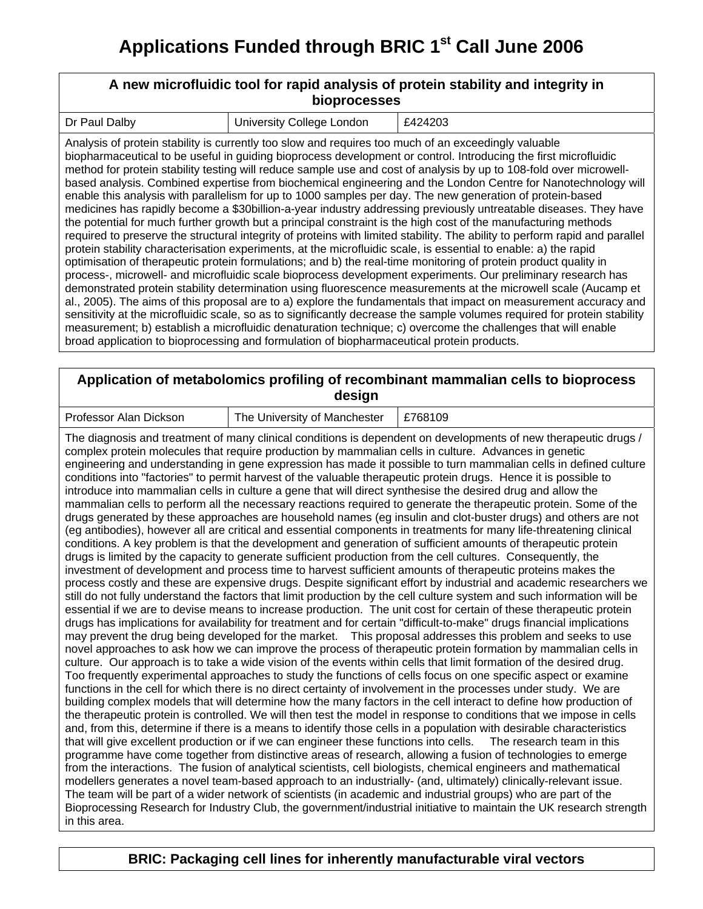# **A new microfluidic tool for rapid analysis of protein stability and integrity in bioprocesses**

| I Dr Paul Dalby | l University College Lo |
|-----------------|-------------------------|

 $\begin{array}{ccc} \text{ondon} & \quad \text{E424203} \end{array}$ 

Analysis of protein stability is currently too slow and requires too much of an exceedingly valuable biopharmaceutical to be useful in guiding bioprocess development or control. Introducing the first microfluidic method for protein stability testing will reduce sample use and cost of analysis by up to 108-fold over microwellbased analysis. Combined expertise from biochemical engineering and the London Centre for Nanotechnology will enable this analysis with parallelism for up to 1000 samples per day. The new generation of protein-based medicines has rapidly become a \$30billion-a-year industry addressing previously untreatable diseases. They have the potential for much further growth but a principal constraint is the high cost of the manufacturing methods required to preserve the structural integrity of proteins with limited stability. The ability to perform rapid and parallel protein stability characterisation experiments, at the microfluidic scale, is essential to enable: a) the rapid optimisation of therapeutic protein formulations; and b) the real-time monitoring of protein product quality in process-, microwell- and microfluidic scale bioprocess development experiments. Our preliminary research has demonstrated protein stability determination using fluorescence measurements at the microwell scale (Aucamp et al., 2005). The aims of this proposal are to a) explore the fundamentals that impact on measurement accuracy and sensitivity at the microfluidic scale, so as to significantly decrease the sample volumes required for protein stability measurement; b) establish a microfluidic denaturation technique; c) overcome the challenges that will enable broad application to bioprocessing and formulation of biopharmaceutical protein products.

#### **Application of metabolomics profiling of recombinant mammalian cells to bioprocess design**

The University of Manchester  $\vert$  £768109

The diagnosis and treatment of many clinical conditions is dependent on developments of new therapeutic drugs / complex protein molecules that require production by mammalian cells in culture. Advances in genetic engineering and understanding in gene expression has made it possible to turn mammalian cells in defined culture conditions into "factories" to permit harvest of the valuable therapeutic protein drugs. Hence it is possible to introduce into mammalian cells in culture a gene that will direct synthesise the desired drug and allow the mammalian cells to perform all the necessary reactions required to generate the therapeutic protein. Some of the drugs generated by these approaches are household names (eg insulin and clot-buster drugs) and others are not (eg antibodies), however all are critical and essential components in treatments for many life-threatening clinical conditions. A key problem is that the development and generation of sufficient amounts of therapeutic protein drugs is limited by the capacity to generate sufficient production from the cell cultures. Consequently, the investment of development and process time to harvest sufficient amounts of therapeutic proteins makes the process costly and these are expensive drugs. Despite significant effort by industrial and academic researchers we still do not fully understand the factors that limit production by the cell culture system and such information will be essential if we are to devise means to increase production. The unit cost for certain of these therapeutic protein drugs has implications for availability for treatment and for certain "difficult-to-make" drugs financial implications may prevent the drug being developed for the market. This proposal addresses this problem and seeks to use novel approaches to ask how we can improve the process of therapeutic protein formation by mammalian cells in culture. Our approach is to take a wide vision of the events within cells that limit formation of the desired drug. Too frequently experimental approaches to study the functions of cells focus on one specific aspect or examine functions in the cell for which there is no direct certainty of involvement in the processes under study. We are building complex models that will determine how the many factors in the cell interact to define how production of the therapeutic protein is controlled. We will then test the model in response to conditions that we impose in cells and, from this, determine if there is a means to identify those cells in a population with desirable characteristics that will give excellent production or if we can engineer these functions into cells. The research team in this programme have come together from distinctive areas of research, allowing a fusion of technologies to emerge from the interactions. The fusion of analytical scientists, cell biologists, chemical engineers and mathematical modellers generates a novel team-based approach to an industrially- (and, ultimately) clinically-relevant issue. The team will be part of a wider network of scientists (in academic and industrial groups) who are part of the Bioprocessing Research for Industry Club, the government/industrial initiative to maintain the UK research strength in this area.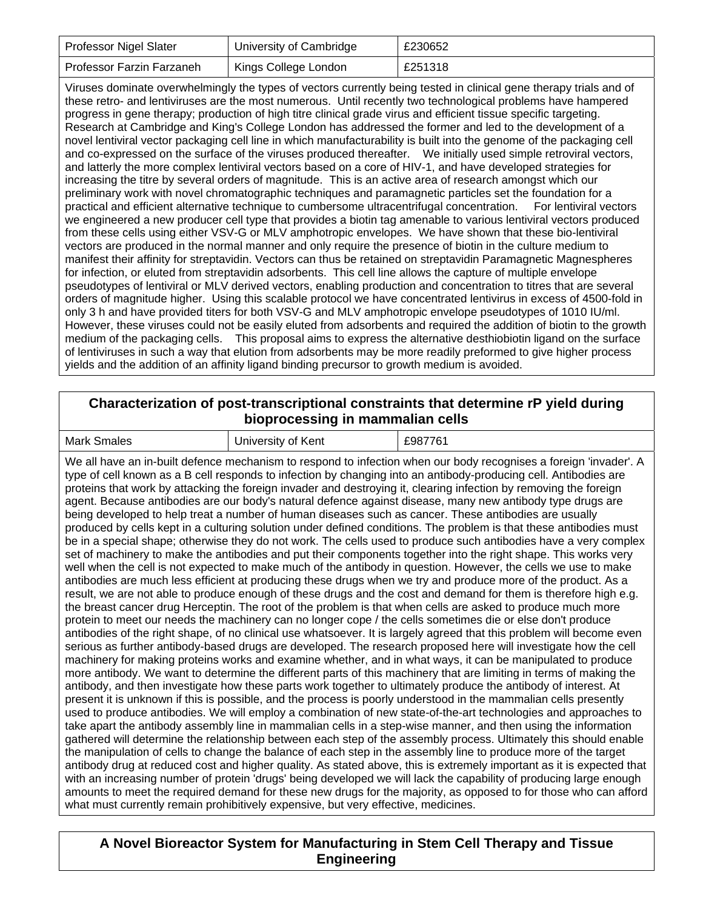| <b>Professor Nigel Slater</b>    | University of Cambridge | £230652 |
|----------------------------------|-------------------------|---------|
| <b>Professor Farzin Farzaneh</b> | Kings College London    | £251318 |

Viruses dominate overwhelmingly the types of vectors currently being tested in clinical gene therapy trials and of these retro- and lentiviruses are the most numerous. Until recently two technological problems have hampered progress in gene therapy; production of high titre clinical grade virus and efficient tissue specific targeting. Research at Cambridge and King's College London has addressed the former and led to the development of a novel lentiviral vector packaging cell line in which manufacturability is built into the genome of the packaging cell and co-expressed on the surface of the viruses produced thereafter. We initially used simple retroviral vectors, and latterly the more complex lentiviral vectors based on a core of HIV-1, and have developed strategies for increasing the titre by several orders of magnitude. This is an active area of research amongst which our preliminary work with novel chromatographic techniques and paramagnetic particles set the foundation for a practical and efficient alternative technique to cumbersome ultracentrifugal concentration. For lentiviral vectors we engineered a new producer cell type that provides a biotin tag amenable to various lentiviral vectors produced from these cells using either VSV-G or MLV amphotropic envelopes. We have shown that these bio-lentiviral vectors are produced in the normal manner and only require the presence of biotin in the culture medium to manifest their affinity for streptavidin. Vectors can thus be retained on streptavidin Paramagnetic Magnespheres for infection, or eluted from streptavidin adsorbents. This cell line allows the capture of multiple envelope pseudotypes of lentiviral or MLV derived vectors, enabling production and concentration to titres that are several orders of magnitude higher. Using this scalable protocol we have concentrated lentivirus in excess of 4500-fold in only 3 h and have provided titers for both VSV-G and MLV amphotropic envelope pseudotypes of 1010 IU/ml. However, these viruses could not be easily eluted from adsorbents and required the addition of biotin to the growth medium of the packaging cells. This proposal aims to express the alternative desthiobiotin ligand on the surface of lentiviruses in such a way that elution from adsorbents may be more readily preformed to give higher process yields and the addition of an affinity ligand binding precursor to growth medium is avoided.

# **Characterization of post-transcriptional constraints that determine rP yield during bioprocessing in mammalian cells**

| Mark<br>£987761<br>of Kent<br>Smales<br>Jniversity |  |  |  |  |
|----------------------------------------------------|--|--|--|--|
|----------------------------------------------------|--|--|--|--|

We all have an in-built defence mechanism to respond to infection when our body recognises a foreign 'invader'. A type of cell known as a B cell responds to infection by changing into an antibody-producing cell. Antibodies are proteins that work by attacking the foreign invader and destroying it, clearing infection by removing the foreign agent. Because antibodies are our body's natural defence against disease, many new antibody type drugs are being developed to help treat a number of human diseases such as cancer. These antibodies are usually produced by cells kept in a culturing solution under defined conditions. The problem is that these antibodies must be in a special shape; otherwise they do not work. The cells used to produce such antibodies have a very complex set of machinery to make the antibodies and put their components together into the right shape. This works very well when the cell is not expected to make much of the antibody in question. However, the cells we use to make antibodies are much less efficient at producing these drugs when we try and produce more of the product. As a result, we are not able to produce enough of these drugs and the cost and demand for them is therefore high e.g. the breast cancer drug Herceptin. The root of the problem is that when cells are asked to produce much more protein to meet our needs the machinery can no longer cope / the cells sometimes die or else don't produce antibodies of the right shape, of no clinical use whatsoever. It is largely agreed that this problem will become even serious as further antibody-based drugs are developed. The research proposed here will investigate how the cell machinery for making proteins works and examine whether, and in what ways, it can be manipulated to produce more antibody. We want to determine the different parts of this machinery that are limiting in terms of making the antibody, and then investigate how these parts work together to ultimately produce the antibody of interest. At present it is unknown if this is possible, and the process is poorly understood in the mammalian cells presently used to produce antibodies. We will employ a combination of new state-of-the-art technologies and approaches to take apart the antibody assembly line in mammalian cells in a step-wise manner, and then using the information gathered will determine the relationship between each step of the assembly process. Ultimately this should enable the manipulation of cells to change the balance of each step in the assembly line to produce more of the target antibody drug at reduced cost and higher quality. As stated above, this is extremely important as it is expected that with an increasing number of protein 'drugs' being developed we will lack the capability of producing large enough amounts to meet the required demand for these new drugs for the majority, as opposed to for those who can afford what must currently remain prohibitively expensive, but very effective, medicines.

## **A Novel Bioreactor System for Manufacturing in Stem Cell Therapy and Tissue Engineering**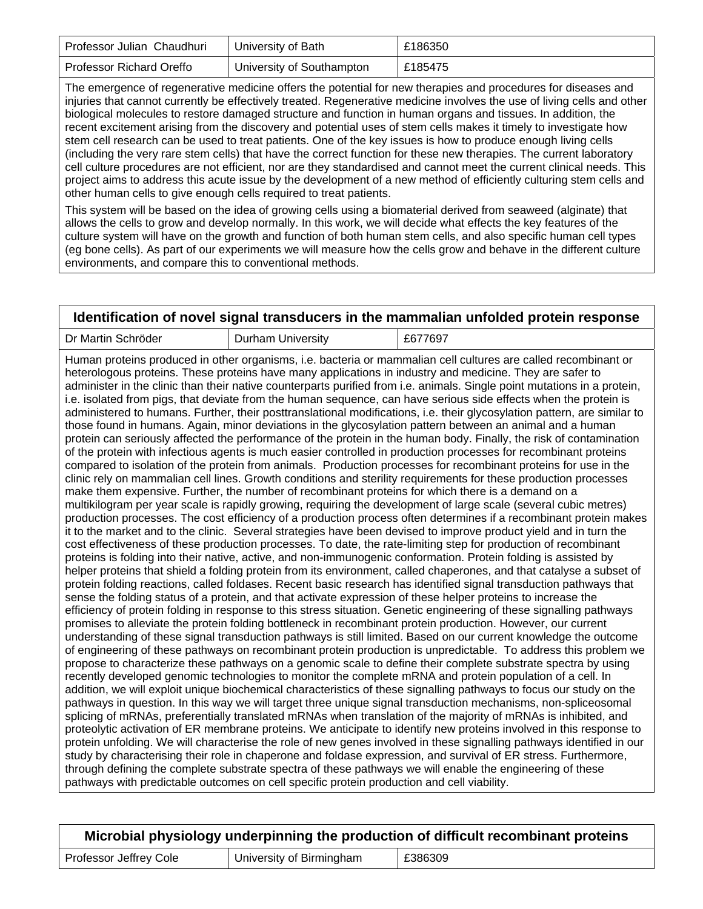| Professor Julian Chaudhuri      | University of Bath        | £186350 |
|---------------------------------|---------------------------|---------|
| <b>Professor Richard Oreffo</b> | University of Southampton | £185475 |

The emergence of regenerative medicine offers the potential for new therapies and procedures for diseases and injuries that cannot currently be effectively treated. Regenerative medicine involves the use of living cells and other biological molecules to restore damaged structure and function in human organs and tissues. In addition, the recent excitement arising from the discovery and potential uses of stem cells makes it timely to investigate how stem cell research can be used to treat patients. One of the key issues is how to produce enough living cells (including the very rare stem cells) that have the correct function for these new therapies. The current laboratory cell culture procedures are not efficient, nor are they standardised and cannot meet the current clinical needs. This project aims to address this acute issue by the development of a new method of efficiently culturing stem cells and other human cells to give enough cells required to treat patients.

This system will be based on the idea of growing cells using a biomaterial derived from seaweed (alginate) that allows the cells to grow and develop normally. In this work, we will decide what effects the key features of the culture system will have on the growth and function of both human stem cells, and also specific human cell types (eg bone cells). As part of our experiments we will measure how the cells grow and behave in the different culture environments, and compare this to conventional methods.

| Identification of novel signal transducers in the mammalian unfolded protein response |                                                                                            |                                                                                                                                                                                                                                                                                                                                                                                                                                                                                                                                                                                                                                                                                                                                                                                                                                                                                                                                                                                                                                                                                                                                                                                                                                                                                                                                                                                                                                                                                                                                                                                                                                                                                                                                                                                                                                                                                                                                                                                                                                                                                                                                                                                                                                                                                                                                                                                                                                                                                                                                                                                                                                                                                                                                                                                                                                                                                                                                                                                                                                                                                                                                                                                                                                                                                                                                                                                                                                                                                                                                                                                                                                                                                                                                                                                                                                      |  |
|---------------------------------------------------------------------------------------|--------------------------------------------------------------------------------------------|--------------------------------------------------------------------------------------------------------------------------------------------------------------------------------------------------------------------------------------------------------------------------------------------------------------------------------------------------------------------------------------------------------------------------------------------------------------------------------------------------------------------------------------------------------------------------------------------------------------------------------------------------------------------------------------------------------------------------------------------------------------------------------------------------------------------------------------------------------------------------------------------------------------------------------------------------------------------------------------------------------------------------------------------------------------------------------------------------------------------------------------------------------------------------------------------------------------------------------------------------------------------------------------------------------------------------------------------------------------------------------------------------------------------------------------------------------------------------------------------------------------------------------------------------------------------------------------------------------------------------------------------------------------------------------------------------------------------------------------------------------------------------------------------------------------------------------------------------------------------------------------------------------------------------------------------------------------------------------------------------------------------------------------------------------------------------------------------------------------------------------------------------------------------------------------------------------------------------------------------------------------------------------------------------------------------------------------------------------------------------------------------------------------------------------------------------------------------------------------------------------------------------------------------------------------------------------------------------------------------------------------------------------------------------------------------------------------------------------------------------------------------------------------------------------------------------------------------------------------------------------------------------------------------------------------------------------------------------------------------------------------------------------------------------------------------------------------------------------------------------------------------------------------------------------------------------------------------------------------------------------------------------------------------------------------------------------------------------------------------------------------------------------------------------------------------------------------------------------------------------------------------------------------------------------------------------------------------------------------------------------------------------------------------------------------------------------------------------------------------------------------------------------------------------------------------------------------|--|
| Dr Martin Schröder                                                                    | <b>Durham University</b>                                                                   | £677697                                                                                                                                                                                                                                                                                                                                                                                                                                                                                                                                                                                                                                                                                                                                                                                                                                                                                                                                                                                                                                                                                                                                                                                                                                                                                                                                                                                                                                                                                                                                                                                                                                                                                                                                                                                                                                                                                                                                                                                                                                                                                                                                                                                                                                                                                                                                                                                                                                                                                                                                                                                                                                                                                                                                                                                                                                                                                                                                                                                                                                                                                                                                                                                                                                                                                                                                                                                                                                                                                                                                                                                                                                                                                                                                                                                                                              |  |
|                                                                                       | pathways with predictable outcomes on cell specific protein production and cell viability. | Human proteins produced in other organisms, i.e. bacteria or mammalian cell cultures are called recombinant or<br>heterologous proteins. These proteins have many applications in industry and medicine. They are safer to<br>administer in the clinic than their native counterparts purified from i.e. animals. Single point mutations in a protein,<br>i.e. isolated from pigs, that deviate from the human sequence, can have serious side effects when the protein is<br>administered to humans. Further, their posttranslational modifications, i.e. their glycosylation pattern, are similar to<br>those found in humans. Again, minor deviations in the glycosylation pattern between an animal and a human<br>protein can seriously affected the performance of the protein in the human body. Finally, the risk of contamination<br>of the protein with infectious agents is much easier controlled in production processes for recombinant proteins<br>compared to isolation of the protein from animals. Production processes for recombinant proteins for use in the<br>clinic rely on mammalian cell lines. Growth conditions and sterility requirements for these production processes<br>make them expensive. Further, the number of recombinant proteins for which there is a demand on a<br>multikilogram per year scale is rapidly growing, requiring the development of large scale (several cubic metres)<br>production processes. The cost efficiency of a production process often determines if a recombinant protein makes<br>it to the market and to the clinic. Several strategies have been devised to improve product yield and in turn the<br>cost effectiveness of these production processes. To date, the rate-limiting step for production of recombinant<br>proteins is folding into their native, active, and non-immunogenic conformation. Protein folding is assisted by<br>helper proteins that shield a folding protein from its environment, called chaperones, and that catalyse a subset of<br>protein folding reactions, called foldases. Recent basic research has identified signal transduction pathways that<br>sense the folding status of a protein, and that activate expression of these helper proteins to increase the<br>efficiency of protein folding in response to this stress situation. Genetic engineering of these signalling pathways<br>promises to alleviate the protein folding bottleneck in recombinant protein production. However, our current<br>understanding of these signal transduction pathways is still limited. Based on our current knowledge the outcome<br>of engineering of these pathways on recombinant protein production is unpredictable. To address this problem we<br>propose to characterize these pathways on a genomic scale to define their complete substrate spectra by using<br>recently developed genomic technologies to monitor the complete mRNA and protein population of a cell. In<br>addition, we will exploit unique biochemical characteristics of these signalling pathways to focus our study on the<br>pathways in question. In this way we will target three unique signal transduction mechanisms, non-spliceosomal<br>splicing of mRNAs, preferentially translated mRNAs when translation of the majority of mRNAs is inhibited, and<br>proteolytic activation of ER membrane proteins. We anticipate to identify new proteins involved in this response to<br>protein unfolding. We will characterise the role of new genes involved in these signalling pathways identified in our<br>study by characterising their role in chaperone and foldase expression, and survival of ER stress. Furthermore,<br>through defining the complete substrate spectra of these pathways we will enable the engineering of these |  |

| Microbial physiology underpinning the production of difficult recombinant proteins |                          |         |  |
|------------------------------------------------------------------------------------|--------------------------|---------|--|
| Professor Jeffrey Cole                                                             | University of Birmingham | £386309 |  |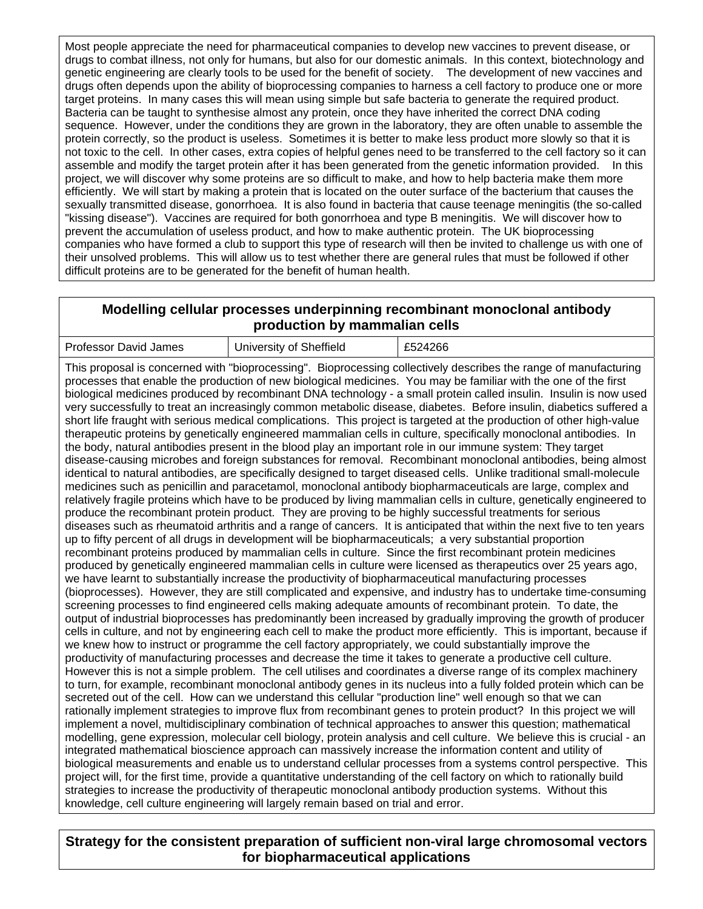Most people appreciate the need for pharmaceutical companies to develop new vaccines to prevent disease, or drugs to combat illness, not only for humans, but also for our domestic animals. In this context, biotechnology and genetic engineering are clearly tools to be used for the benefit of society. The development of new vaccines and drugs often depends upon the ability of bioprocessing companies to harness a cell factory to produce one or more target proteins. In many cases this will mean using simple but safe bacteria to generate the required product. Bacteria can be taught to synthesise almost any protein, once they have inherited the correct DNA coding sequence. However, under the conditions they are grown in the laboratory, they are often unable to assemble the protein correctly, so the product is useless. Sometimes it is better to make less product more slowly so that it is not toxic to the cell. In other cases, extra copies of helpful genes need to be transferred to the cell factory so it can assemble and modify the target protein after it has been generated from the genetic information provided. In this project, we will discover why some proteins are so difficult to make, and how to help bacteria make them more efficiently. We will start by making a protein that is located on the outer surface of the bacterium that causes the sexually transmitted disease, gonorrhoea. It is also found in bacteria that cause teenage meningitis (the so-called "kissing disease"). Vaccines are required for both gonorrhoea and type B meningitis. We will discover how to prevent the accumulation of useless product, and how to make authentic protein. The UK bioprocessing companies who have formed a club to support this type of research will then be invited to challenge us with one of their unsolved problems. This will allow us to test whether there are general rules that must be followed if other difficult proteins are to be generated for the benefit of human health.

#### **Modelling cellular processes underpinning recombinant monoclonal antibody production by mammalian cells**

| Professor David James | University of Sheffield | £524266 |
|-----------------------|-------------------------|---------|
|-----------------------|-------------------------|---------|

This proposal is concerned with "bioprocessing". Bioprocessing collectively describes the range of manufacturing processes that enable the production of new biological medicines. You may be familiar with the one of the first biological medicines produced by recombinant DNA technology - a small protein called insulin. Insulin is now used very successfully to treat an increasingly common metabolic disease, diabetes. Before insulin, diabetics suffered a short life fraught with serious medical complications. This project is targeted at the production of other high-value therapeutic proteins by genetically engineered mammalian cells in culture, specifically monoclonal antibodies. In the body, natural antibodies present in the blood play an important role in our immune system: They target disease-causing microbes and foreign substances for removal. Recombinant monoclonal antibodies, being almost identical to natural antibodies, are specifically designed to target diseased cells. Unlike traditional small-molecule medicines such as penicillin and paracetamol, monoclonal antibody biopharmaceuticals are large, complex and relatively fragile proteins which have to be produced by living mammalian cells in culture, genetically engineered to produce the recombinant protein product. They are proving to be highly successful treatments for serious diseases such as rheumatoid arthritis and a range of cancers. It is anticipated that within the next five to ten years up to fifty percent of all drugs in development will be biopharmaceuticals; a very substantial proportion recombinant proteins produced by mammalian cells in culture. Since the first recombinant protein medicines produced by genetically engineered mammalian cells in culture were licensed as therapeutics over 25 years ago, we have learnt to substantially increase the productivity of biopharmaceutical manufacturing processes (bioprocesses). However, they are still complicated and expensive, and industry has to undertake time-consuming screening processes to find engineered cells making adequate amounts of recombinant protein. To date, the output of industrial bioprocesses has predominantly been increased by gradually improving the growth of producer cells in culture, and not by engineering each cell to make the product more efficiently. This is important, because if we knew how to instruct or programme the cell factory appropriately, we could substantially improve the productivity of manufacturing processes and decrease the time it takes to generate a productive cell culture. However this is not a simple problem. The cell utilises and coordinates a diverse range of its complex machinery to turn, for example, recombinant monoclonal antibody genes in its nucleus into a fully folded protein which can be secreted out of the cell. How can we understand this cellular "production line" well enough so that we can rationally implement strategies to improve flux from recombinant genes to protein product? In this project we will implement a novel, multidisciplinary combination of technical approaches to answer this question; mathematical modelling, gene expression, molecular cell biology, protein analysis and cell culture. We believe this is crucial - an integrated mathematical bioscience approach can massively increase the information content and utility of biological measurements and enable us to understand cellular processes from a systems control perspective. This project will, for the first time, provide a quantitative understanding of the cell factory on which to rationally build strategies to increase the productivity of therapeutic monoclonal antibody production systems. Without this knowledge, cell culture engineering will largely remain based on trial and error.

**Strategy for the consistent preparation of sufficient non-viral large chromosomal vectors for biopharmaceutical applications**